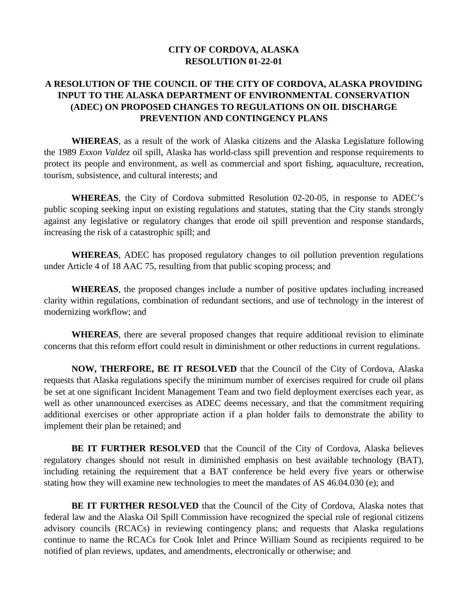## **CITY OF CORDOVA, ALASKA RESOLUTION 01-22-01**

## **A RESOLUTION OF THE COUNCIL OF THE CITY OF CORDOVA, ALASKA PROVIDING INPUT TO THE ALASKA DEPARTMENT OF ENVIRONMENTAL CONSERVATION (ADEC) ON PROPOSED CHANGES TO REGULATIONS ON OIL DISCHARGE PREVENTION AND CONTINGENCY PLANS**

**WHEREAS**, as a result of the work of Alaska citizens and the Alaska Legislature following the 1989 *Exxon Valdez* oil spill, Alaska has world-class spill prevention and response requirements to protect its people and environment, as well as commercial and sport fishing, aquaculture, recreation, tourism, subsistence, and cultural interests; and

**WHEREAS**, the City of Cordova submitted Resolution 02-20-05, in response to ADEC's public scoping seeking input on existing regulations and statutes, stating that the City stands strongly against any legislative or regulatory changes that erode oil spill prevention and response standards, increasing the risk of a catastrophic spill; and

**WHEREAS**, ADEC has proposed regulatory changes to oil pollution prevention regulations under Article 4 of 18 AAC 75, resulting from that public scoping process; and

**WHEREAS**, the proposed changes include a number of positive updates including increased clarity within regulations, combination of redundant sections, and use of technology in the interest of modernizing workflow; and

**WHEREAS**, there are several proposed changes that require additional revision to eliminate concerns that this reform effort could result in diminishment or other reductions in current regulations.

**NOW, THERFORE, BE IT RESOLVED** that the Council of the City of Cordova, Alaska requests that Alaska regulations specify the minimum number of exercises required for crude oil plans be set at one significant Incident Management Team and two field deployment exercises each year, as well as other unannounced exercises as ADEC deems necessary, and that the commitment requiring additional exercises or other appropriate action if a plan holder fails to demonstrate the ability to implement their plan be retained; and

**BE IT FURTHER RESOLVED** that the Council of the City of Cordova, Alaska believes regulatory changes should not result in diminished emphasis on best available technology (BAT), including retaining the requirement that a BAT conference be held every five years or otherwise stating how they will examine new technologies to meet the mandates of AS 46.04.030 (e); and

**BE IT FURTHER RESOLVED** that the Council of the City of Cordova, Alaska notes that federal law and the Alaska Oil Spill Commission have recognized the special role of regional citizens advisory councils (RCACs) in reviewing contingency plans; and requests that Alaska regulations continue to name the RCACs for Cook Inlet and Prince William Sound as recipients required to be notified of plan reviews, updates, and amendments, electronically or otherwise; and